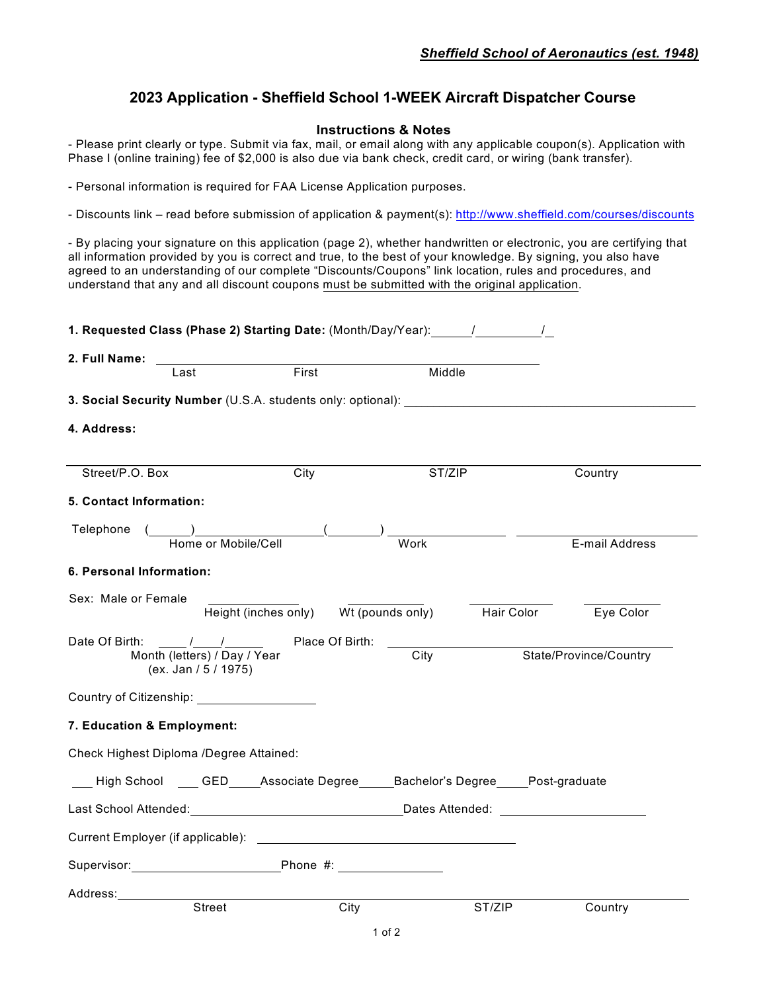# **2023 Application - Sheffield School 1-WEEK Aircraft Dispatcher Course**

#### **Instructions & Notes**

- Please print clearly or type. Submit via fax, mail, or email along with any applicable coupon(s). Application with Phase I (online training) fee of \$2,000 is also due via bank check, credit card, or wiring (bank transfer).

- Personal information is required for FAA License Application purposes.

- Discounts link – read before submission of application & payment(s): http://www.sheffield.com/courses/discounts

- By placing your signature on this application (page 2), whether handwritten or electronic, you are certifying that all information provided by you is correct and true, to the best of your knowledge. By signing, you also have agreed to an understanding of our complete "Discounts/Coupons" link location, rules and procedures, and understand that any and all discount coupons must be submitted with the original application.

| 2. Full Name:                                    |                                                                          |       |                                                                                  |            |                        |
|--------------------------------------------------|--------------------------------------------------------------------------|-------|----------------------------------------------------------------------------------|------------|------------------------|
|                                                  | Last                                                                     | First | Middle                                                                           |            |                        |
|                                                  |                                                                          |       | 3. Social Security Number (U.S.A. students only: optional): ____________________ |            |                        |
| 4. Address:                                      |                                                                          |       |                                                                                  |            |                        |
| Street/P.O. Box                                  |                                                                          | City  | ST/ZIP                                                                           |            | Country                |
| 5. Contact Information:                          |                                                                          |       |                                                                                  |            |                        |
| Telephone ( ) ( )                                | Home or Mobile/Cell                                                      |       | Work                                                                             |            | E-mail Address         |
| 6. Personal Information:                         |                                                                          |       |                                                                                  |            |                        |
| Sex: Male or Female                              |                                                                          |       | Height (inches only) Wt (pounds only)                                            | Hair Color | Eye Color              |
|                                                  | Month (letters) / Day / Year<br>(ex. Jan / 5 / 1975)                     |       | City                                                                             |            | State/Province/Country |
| Country of Citizenship: ________________________ |                                                                          |       |                                                                                  |            |                        |
| 7. Education & Employment:                       |                                                                          |       |                                                                                  |            |                        |
| Check Highest Diploma /Degree Attained:          |                                                                          |       |                                                                                  |            |                        |
|                                                  |                                                                          |       | High School GED Associate Degree Bachelor's Degree Post-graduate                 |            |                        |
|                                                  | Last School Attended: National School Attended: National Dates Attended: |       |                                                                                  |            |                        |
|                                                  |                                                                          |       |                                                                                  |            |                        |
|                                                  |                                                                          |       |                                                                                  |            |                        |
|                                                  |                                                                          |       |                                                                                  |            |                        |
| Address:                                         | Street                                                                   |       | City                                                                             | ST/ZIP     | Country                |